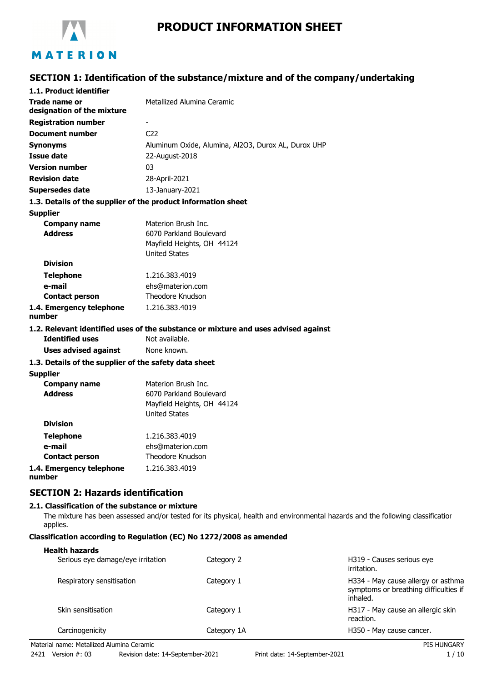

# **PRODUCT INFORMATION SHEET**

# **SECTION 1: Identification of the substance/mixture and of the company/undertaking**

| 1.1. Product identifier                               |                                                                                    |
|-------------------------------------------------------|------------------------------------------------------------------------------------|
| Trade name or<br>designation of the mixture           | Metallized Alumina Ceramic                                                         |
| <b>Registration number</b>                            |                                                                                    |
| <b>Document number</b>                                | C <sub>22</sub>                                                                    |
| <b>Synonyms</b>                                       | Aluminum Oxide, Alumina, Al2O3, Durox AL, Durox UHP                                |
| <b>Issue date</b>                                     | 22-August-2018                                                                     |
| <b>Version number</b>                                 | 03                                                                                 |
| <b>Revision date</b>                                  | 28-April-2021                                                                      |
| <b>Supersedes date</b>                                | 13-January-2021                                                                    |
|                                                       | 1.3. Details of the supplier of the product information sheet                      |
| <b>Supplier</b>                                       |                                                                                    |
| <b>Company name</b>                                   | Materion Brush Inc.                                                                |
| <b>Address</b>                                        | 6070 Parkland Boulevard                                                            |
|                                                       | Mayfield Heights, OH 44124                                                         |
|                                                       | <b>United States</b>                                                               |
| <b>Division</b>                                       |                                                                                    |
| <b>Telephone</b>                                      | 1.216.383.4019                                                                     |
| e-mail                                                | ehs@materion.com                                                                   |
| <b>Contact person</b>                                 | Theodore Knudson                                                                   |
| 1.4. Emergency telephone<br>number                    | 1.216.383.4019                                                                     |
|                                                       | 1.2. Relevant identified uses of the substance or mixture and uses advised against |
| <b>Identified uses</b>                                | Not available.                                                                     |
| <b>Uses advised against</b>                           | None known.                                                                        |
| 1.3. Details of the supplier of the safety data sheet |                                                                                    |
| <b>Supplier</b>                                       |                                                                                    |
| <b>Company name</b>                                   | Materion Brush Inc.                                                                |
| <b>Address</b>                                        | 6070 Parkland Boulevard                                                            |
|                                                       | Mayfield Heights, OH 44124                                                         |
| <b>Division</b>                                       | <b>United States</b>                                                               |
|                                                       |                                                                                    |
| <b>Telephone</b>                                      | 1.216.383.4019                                                                     |
| e-mail                                                | ehs@materion.com                                                                   |
| <b>Contact person</b>                                 | Theodore Knudson                                                                   |
| 1.4. Emergency telephone                              | 1.216.383.4019                                                                     |

**1.4. Emergency telephone number**

## **SECTION 2: Hazards identification**

#### **2.1. Classification of the substance or mixture**

The mixture has been assessed and/or tested for its physical, health and environmental hazards and the following classification applies.

## **Classification according to Regulation (EC) No 1272/2008 as amended**

#### **Health hazards**

| Serious eye damage/eye irritation | Category 2  | H319 - Causes serious eye<br>irritation.                                                |
|-----------------------------------|-------------|-----------------------------------------------------------------------------------------|
| Respiratory sensitisation         | Category 1  | H334 - May cause allergy or asthma<br>symptoms or breathing difficulties if<br>inhaled. |
| Skin sensitisation                | Category 1  | H317 - May cause an allergic skin<br>reaction.                                          |
| Carcinogenicity                   | Category 1A | H350 - May cause cancer.                                                                |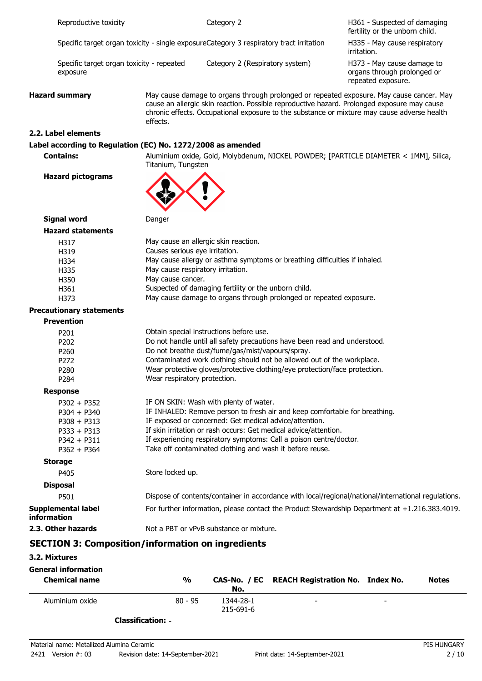|                                           | Reproductive toxicity                                              |                                | Category 2                                                                              | H361 - Suspected of damaging<br>fertility or the unborn child.                                                                                                                                                                                                                         |
|-------------------------------------------|--------------------------------------------------------------------|--------------------------------|-----------------------------------------------------------------------------------------|----------------------------------------------------------------------------------------------------------------------------------------------------------------------------------------------------------------------------------------------------------------------------------------|
|                                           |                                                                    |                                | Specific target organ toxicity - single exposureCategory 3 respiratory tract irritation | H335 - May cause respiratory<br>irritation.                                                                                                                                                                                                                                            |
| exposure                                  | Specific target organ toxicity - repeated                          |                                | Category 2 (Respiratory system)                                                         | H373 - May cause damage to<br>organs through prolonged or<br>repeated exposure.                                                                                                                                                                                                        |
| <b>Hazard summary</b><br>effects.         |                                                                    |                                |                                                                                         | May cause damage to organs through prolonged or repeated exposure. May cause cancer. May<br>cause an allergic skin reaction. Possible reproductive hazard. Prolonged exposure may cause<br>chronic effects. Occupational exposure to the substance or mixture may cause adverse health |
| 2.2. Label elements                       |                                                                    |                                |                                                                                         |                                                                                                                                                                                                                                                                                        |
|                                           |                                                                    |                                | Label according to Regulation (EC) No. 1272/2008 as amended                             |                                                                                                                                                                                                                                                                                        |
| <b>Contains:</b>                          |                                                                    | Titanium, Tungsten             |                                                                                         | Aluminium oxide, Gold, Molybdenum, NICKEL POWDER; [PARTICLE DIAMETER < 1MM], Silica,                                                                                                                                                                                                   |
| <b>Hazard pictograms</b>                  |                                                                    |                                |                                                                                         |                                                                                                                                                                                                                                                                                        |
| <b>Signal word</b>                        |                                                                    | Danger                         |                                                                                         |                                                                                                                                                                                                                                                                                        |
| <b>Hazard statements</b>                  |                                                                    |                                |                                                                                         |                                                                                                                                                                                                                                                                                        |
| H317                                      |                                                                    |                                | May cause an allergic skin reaction.                                                    |                                                                                                                                                                                                                                                                                        |
| H319                                      |                                                                    | Causes serious eye irritation. |                                                                                         |                                                                                                                                                                                                                                                                                        |
| H334                                      |                                                                    |                                | May cause allergy or asthma symptoms or breathing difficulties if inhaled.              |                                                                                                                                                                                                                                                                                        |
| May cause respiratory irritation.<br>H335 |                                                                    |                                |                                                                                         |                                                                                                                                                                                                                                                                                        |
| H350                                      |                                                                    | May cause cancer.              |                                                                                         |                                                                                                                                                                                                                                                                                        |
| H361                                      |                                                                    |                                | Suspected of damaging fertility or the unborn child.                                    |                                                                                                                                                                                                                                                                                        |
| H373                                      | May cause damage to organs through prolonged or repeated exposure. |                                |                                                                                         |                                                                                                                                                                                                                                                                                        |
| <b>Precautionary statements</b>           |                                                                    |                                |                                                                                         |                                                                                                                                                                                                                                                                                        |
| <b>Prevention</b>                         |                                                                    |                                |                                                                                         |                                                                                                                                                                                                                                                                                        |
| P201                                      |                                                                    |                                | Obtain special instructions before use.                                                 |                                                                                                                                                                                                                                                                                        |
| P202                                      |                                                                    |                                | Do not handle until all safety precautions have been read and understood.               |                                                                                                                                                                                                                                                                                        |
| P260                                      |                                                                    |                                | Do not breathe dust/fume/gas/mist/vapours/spray.                                        |                                                                                                                                                                                                                                                                                        |
| P272                                      |                                                                    |                                | Contaminated work clothing should not be allowed out of the workplace.                  |                                                                                                                                                                                                                                                                                        |
| P280                                      |                                                                    |                                | Wear protective gloves/protective clothing/eye protection/face protection.              |                                                                                                                                                                                                                                                                                        |
| P284                                      |                                                                    | Wear respiratory protection.   |                                                                                         |                                                                                                                                                                                                                                                                                        |
| <b>Response</b>                           |                                                                    |                                |                                                                                         |                                                                                                                                                                                                                                                                                        |
| $P302 + P352$                             |                                                                    |                                | IF ON SKIN: Wash with plenty of water.                                                  |                                                                                                                                                                                                                                                                                        |
| $P304 + P340$                             |                                                                    |                                | IF INHALED: Remove person to fresh air and keep comfortable for breathing.              |                                                                                                                                                                                                                                                                                        |
| $P308 + P313$                             |                                                                    |                                | IF exposed or concerned: Get medical advice/attention.                                  |                                                                                                                                                                                                                                                                                        |
| $P333 + P313$                             |                                                                    |                                | If skin irritation or rash occurs: Get medical advice/attention.                        |                                                                                                                                                                                                                                                                                        |
| $P342 + P311$                             |                                                                    |                                | If experiencing respiratory symptoms: Call a poison centre/doctor.                      |                                                                                                                                                                                                                                                                                        |
| $P362 + P364$                             |                                                                    |                                | Take off contaminated clothing and wash it before reuse.                                |                                                                                                                                                                                                                                                                                        |
| <b>Storage</b>                            |                                                                    |                                |                                                                                         |                                                                                                                                                                                                                                                                                        |
| P405                                      |                                                                    | Store locked up.               |                                                                                         |                                                                                                                                                                                                                                                                                        |
| <b>Disposal</b>                           |                                                                    |                                |                                                                                         |                                                                                                                                                                                                                                                                                        |
| P501                                      |                                                                    |                                |                                                                                         | Dispose of contents/container in accordance with local/regional/national/international regulations.                                                                                                                                                                                    |
| <b>Supplemental label</b><br>information  |                                                                    |                                |                                                                                         | For further information, please contact the Product Stewardship Department at +1.216.383.4019.                                                                                                                                                                                         |
| 2.3. Other hazards                        |                                                                    |                                | Not a PBT or vPvB substance or mixture.                                                 |                                                                                                                                                                                                                                                                                        |
|                                           |                                                                    |                                | <b>SECTION 3: Composition/information on ingredients</b>                                |                                                                                                                                                                                                                                                                                        |

## **3.2. Mixtures**

| <b>General information</b><br><b>Chemical name</b> | %         | No.                    | CAS-No. / EC REACH Registration No. Index No. |   | <b>Notes</b> |
|----------------------------------------------------|-----------|------------------------|-----------------------------------------------|---|--------------|
| Aluminium oxide                                    | $80 - 95$ | 1344-28-1<br>215-691-6 | $\overline{\phantom{0}}$                      | - |              |

**Classification:** -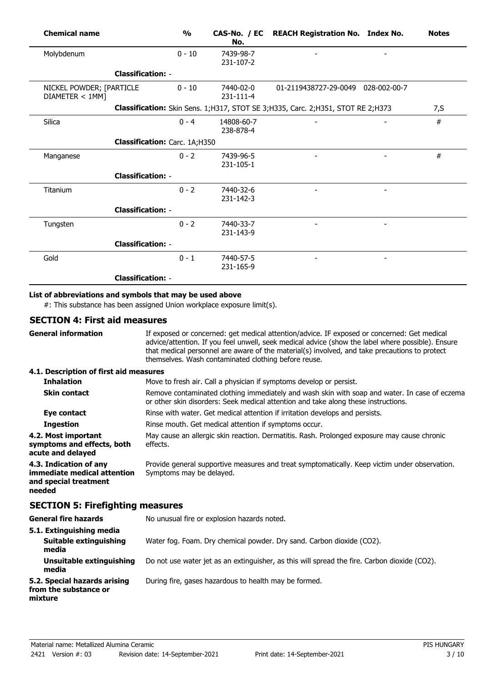| <b>Chemical name</b>                        |                               | $\frac{1}{2}$ | No.                     | CAS-No. / EC REACH Registration No. Index No.                                       | <b>Notes</b> |
|---------------------------------------------|-------------------------------|---------------|-------------------------|-------------------------------------------------------------------------------------|--------------|
| Molybdenum                                  |                               | $0 - 10$      | 7439-98-7<br>231-107-2  |                                                                                     |              |
|                                             | <b>Classification: -</b>      |               |                         |                                                                                     |              |
| NICKEL POWDER; [PARTICLE<br>DIAMETER < 1MM] |                               | $0 - 10$      | 7440-02-0<br>231-111-4  | 01-2119438727-29-0049 028-002-00-7                                                  |              |
|                                             |                               |               |                         | Classification: Skin Sens. 1; H317, STOT SE 3; H335, Carc. 2; H351, STOT RE 2; H373 | 7, S         |
| Silica                                      |                               | $0 - 4$       | 14808-60-7<br>238-878-4 |                                                                                     | #            |
|                                             | Classification: Carc. 1A;H350 |               |                         |                                                                                     |              |
| Manganese                                   |                               | $0 - 2$       | 7439-96-5<br>231-105-1  |                                                                                     | #            |
|                                             | <b>Classification: -</b>      |               |                         |                                                                                     |              |
| Titanium                                    |                               | $0 - 2$       | 7440-32-6<br>231-142-3  |                                                                                     |              |
|                                             | <b>Classification: -</b>      |               |                         |                                                                                     |              |
| Tungsten                                    |                               | $0 - 2$       | 7440-33-7<br>231-143-9  |                                                                                     |              |
|                                             | <b>Classification: -</b>      |               |                         |                                                                                     |              |
| Gold                                        |                               | $0 - 1$       | 7440-57-5<br>231-165-9  |                                                                                     |              |
|                                             | <b>Classification: -</b>      |               |                         |                                                                                     |              |

## **List of abbreviations and symbols that may be used above**

#: This substance has been assigned Union workplace exposure limit(s).

## **SECTION 4: First aid measures**

| <b>General information</b>                                                               | If exposed or concerned: get medical attention/advice. IF exposed or concerned: Get medical<br>advice/attention. If you feel unwell, seek medical advice (show the label where possible). Ensure<br>that medical personnel are aware of the material(s) involved, and take precautions to protect<br>themselves. Wash contaminated clothing before reuse. |  |  |  |
|------------------------------------------------------------------------------------------|-----------------------------------------------------------------------------------------------------------------------------------------------------------------------------------------------------------------------------------------------------------------------------------------------------------------------------------------------------------|--|--|--|
| 4.1. Description of first aid measures                                                   |                                                                                                                                                                                                                                                                                                                                                           |  |  |  |
| <b>Inhalation</b>                                                                        | Move to fresh air. Call a physician if symptoms develop or persist.                                                                                                                                                                                                                                                                                       |  |  |  |
| <b>Skin contact</b>                                                                      | Remove contaminated clothing immediately and wash skin with soap and water. In case of eczema<br>or other skin disorders: Seek medical attention and take along these instructions.                                                                                                                                                                       |  |  |  |
| Eye contact                                                                              | Rinse with water. Get medical attention if irritation develops and persists.                                                                                                                                                                                                                                                                              |  |  |  |
| <b>Ingestion</b>                                                                         | Rinse mouth. Get medical attention if symptoms occur.                                                                                                                                                                                                                                                                                                     |  |  |  |
| 4.2. Most important<br>symptoms and effects, both<br>acute and delayed                   | May cause an allergic skin reaction. Dermatitis. Rash. Prolonged exposure may cause chronic<br>effects.                                                                                                                                                                                                                                                   |  |  |  |
| 4.3. Indication of any<br>immediate medical attention<br>and special treatment<br>needed | Provide general supportive measures and treat symptomatically. Keep victim under observation.<br>Symptoms may be delayed.                                                                                                                                                                                                                                 |  |  |  |
| <b>SECTION 5: Firefighting measures</b>                                                  |                                                                                                                                                                                                                                                                                                                                                           |  |  |  |
| <b>General fire hazards</b>                                                              | No unusual fire or explosion hazards noted.                                                                                                                                                                                                                                                                                                               |  |  |  |
| 5.1. Extinguishing media<br><b>Suitable extinguishing</b><br>media                       | Water fog. Foam. Dry chemical powder. Dry sand. Carbon dioxide (CO2).                                                                                                                                                                                                                                                                                     |  |  |  |
| Unsuitable extinguishing<br>media                                                        | Do not use water jet as an extinguisher, as this will spread the fire. Carbon dioxide (CO2).                                                                                                                                                                                                                                                              |  |  |  |
| 5.2. Special hazards arising<br>from the substance or<br>mixture                         | During fire, gases hazardous to health may be formed.                                                                                                                                                                                                                                                                                                     |  |  |  |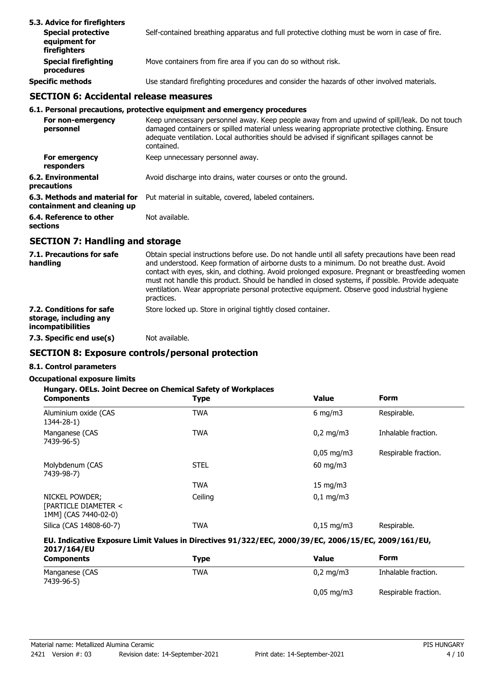| 5.3. Advice for firefighters<br><b>Special protective</b><br>equipment for<br>firefighters | Self-contained breathing apparatus and full protective clothing must be worn in case of fire. |
|--------------------------------------------------------------------------------------------|-----------------------------------------------------------------------------------------------|
| <b>Special firefighting</b><br>procedures                                                  | Move containers from fire area if you can do so without risk.                                 |
| <b>Specific methods</b>                                                                    | Use standard firefighting procedures and consider the hazards of other involved materials.    |

## **SECTION 6: Accidental release measures**

#### **6.1. Personal precautions, protective equipment and emergency procedures**

| For non-emergency<br>personnel                               | Keep unnecessary personnel away. Keep people away from and upwind of spill/leak. Do not touch<br>damaged containers or spilled material unless wearing appropriate protective clothing. Ensure<br>adequate ventilation. Local authorities should be advised if significant spillages cannot be<br>contained. |
|--------------------------------------------------------------|--------------------------------------------------------------------------------------------------------------------------------------------------------------------------------------------------------------------------------------------------------------------------------------------------------------|
| For emergency<br>responders                                  | Keep unnecessary personnel away.                                                                                                                                                                                                                                                                             |
| 6.2. Environmental<br>precautions                            | Avoid discharge into drains, water courses or onto the ground.                                                                                                                                                                                                                                               |
| 6.3. Methods and material for<br>containment and cleaning up | Put material in suitable, covered, labeled containers.                                                                                                                                                                                                                                                       |
| 6.4. Reference to other<br>sections                          | Not available.                                                                                                                                                                                                                                                                                               |

## **SECTION 7: Handling and storage**

| 7.1. Precautions for safe<br>handling                                          | Obtain special instructions before use. Do not handle until all safety precautions have been read<br>and understood. Keep formation of airborne dusts to a minimum. Do not breathe dust. Avoid<br>contact with eyes, skin, and clothing. Avoid prolonged exposure. Pregnant or breastfeeding women<br>must not handle this product. Should be handled in closed systems, if possible. Provide adequate<br>ventilation. Wear appropriate personal protective equipment. Observe good industrial hygiene<br>practices. |
|--------------------------------------------------------------------------------|----------------------------------------------------------------------------------------------------------------------------------------------------------------------------------------------------------------------------------------------------------------------------------------------------------------------------------------------------------------------------------------------------------------------------------------------------------------------------------------------------------------------|
| 7.2. Conditions for safe<br>storage, including any<br><i>incompatibilities</i> | Store locked up. Store in original tightly closed container.                                                                                                                                                                                                                                                                                                                                                                                                                                                         |
| 7.3. Specific end use(s)                                                       | Not available.                                                                                                                                                                                                                                                                                                                                                                                                                                                                                                       |

## **SECTION 8: Exposure controls/personal protection**

# **8.1. Control parameters**

## **Occupational exposure limits**

#### **Hungary. OELs. Joint Decree on Chemical Safety of Workplaces**

| <b>Components</b>                                              | <b>Type</b> | <b>Value</b>           | <b>Form</b>          |
|----------------------------------------------------------------|-------------|------------------------|----------------------|
| Aluminium oxide (CAS<br>1344-28-1)                             | TWA         | 6 mg/m $3$             | Respirable.          |
| Manganese (CAS<br>7439-96-5)                                   | <b>TWA</b>  | $0,2 \text{ mg/m}$     | Inhalable fraction.  |
|                                                                |             | $0,05 \,\mathrm{mg/m}$ | Respirable fraction. |
| Molybdenum (CAS<br>7439-98-7)                                  | <b>STEL</b> | $60 \text{ mg/m}$      |                      |
|                                                                | <b>TWA</b>  | $15 \text{ mg/m}$      |                      |
| NICKEL POWDER;<br>[PARTICLE DIAMETER <<br>1MM] (CAS 7440-02-0) | Ceiling     | $0.1 \,\mathrm{mq/m}$  |                      |
| Silica (CAS 14808-60-7)                                        | TWA         | $0.15 \,\mathrm{mg/m}$ | Respirable.          |

#### **EU. Indicative Exposure Limit Values in Directives 91/322/EEC, 2000/39/EC, 2006/15/EC, 2009/161/EU, 2017/164/EU**

| <b>Components</b>            | Type       | Value                  | Form                 |
|------------------------------|------------|------------------------|----------------------|
| Manganese (CAS<br>7439-96-5) | <b>TWA</b> | $0.2 \text{ mg/m}$     | Inhalable fraction.  |
|                              |            | $0,05 \,\mathrm{mg/m}$ | Respirable fraction. |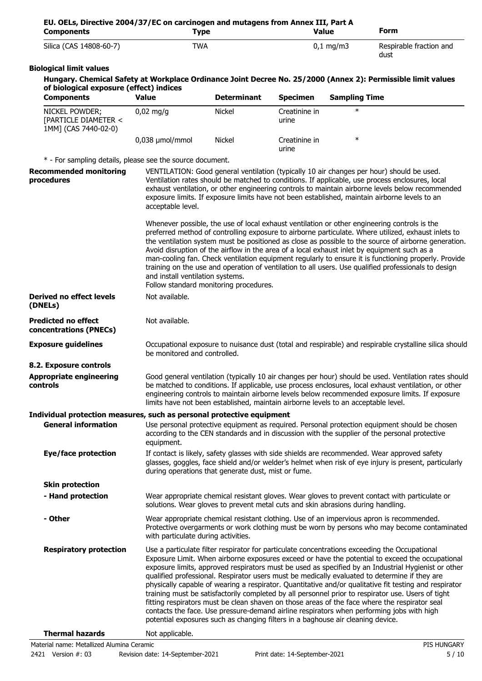| Silica (CAS 14808-60-7)                                                                             | <b>TWA</b>                                                                                                                                                                                                                                                                                                                                                                                                                                                                                                                                                                                                                                                                                                                                                                                                                                                                                                |                                                                                    |                        | $0,1$ mg/m3          | Respirable fraction and                                                                                                                                                                                                                                                                                                                                                                                                                                                                                                                                                                                                    |
|-----------------------------------------------------------------------------------------------------|-----------------------------------------------------------------------------------------------------------------------------------------------------------------------------------------------------------------------------------------------------------------------------------------------------------------------------------------------------------------------------------------------------------------------------------------------------------------------------------------------------------------------------------------------------------------------------------------------------------------------------------------------------------------------------------------------------------------------------------------------------------------------------------------------------------------------------------------------------------------------------------------------------------|------------------------------------------------------------------------------------|------------------------|----------------------|----------------------------------------------------------------------------------------------------------------------------------------------------------------------------------------------------------------------------------------------------------------------------------------------------------------------------------------------------------------------------------------------------------------------------------------------------------------------------------------------------------------------------------------------------------------------------------------------------------------------------|
|                                                                                                     |                                                                                                                                                                                                                                                                                                                                                                                                                                                                                                                                                                                                                                                                                                                                                                                                                                                                                                           |                                                                                    |                        |                      | dust                                                                                                                                                                                                                                                                                                                                                                                                                                                                                                                                                                                                                       |
| <b>Biological limit values</b>                                                                      |                                                                                                                                                                                                                                                                                                                                                                                                                                                                                                                                                                                                                                                                                                                                                                                                                                                                                                           |                                                                                    |                        |                      |                                                                                                                                                                                                                                                                                                                                                                                                                                                                                                                                                                                                                            |
|                                                                                                     |                                                                                                                                                                                                                                                                                                                                                                                                                                                                                                                                                                                                                                                                                                                                                                                                                                                                                                           |                                                                                    |                        |                      | Hungary. Chemical Safety at Workplace Ordinance Joint Decree No. 25/2000 (Annex 2): Permissible limit values                                                                                                                                                                                                                                                                                                                                                                                                                                                                                                               |
| of biological exposure (effect) indices<br><b>Components</b>                                        | <b>Value</b>                                                                                                                                                                                                                                                                                                                                                                                                                                                                                                                                                                                                                                                                                                                                                                                                                                                                                              | <b>Determinant</b>                                                                 | <b>Specimen</b>        | <b>Sampling Time</b> |                                                                                                                                                                                                                                                                                                                                                                                                                                                                                                                                                                                                                            |
| NICKEL POWDER;<br>[PARTICLE DIAMETER <<br>1MM] (CAS 7440-02-0)                                      | $0,02$ mg/g                                                                                                                                                                                                                                                                                                                                                                                                                                                                                                                                                                                                                                                                                                                                                                                                                                                                                               | <b>Nickel</b>                                                                      | Creatinine in<br>urine | $\ast$               |                                                                                                                                                                                                                                                                                                                                                                                                                                                                                                                                                                                                                            |
|                                                                                                     | 0,038 µmol/mmol                                                                                                                                                                                                                                                                                                                                                                                                                                                                                                                                                                                                                                                                                                                                                                                                                                                                                           | <b>Nickel</b>                                                                      | Creatinine in<br>urine | $\ast$               |                                                                                                                                                                                                                                                                                                                                                                                                                                                                                                                                                                                                                            |
| * - For sampling details, please see the source document.                                           |                                                                                                                                                                                                                                                                                                                                                                                                                                                                                                                                                                                                                                                                                                                                                                                                                                                                                                           |                                                                                    |                        |                      |                                                                                                                                                                                                                                                                                                                                                                                                                                                                                                                                                                                                                            |
| <b>Recommended monitoring</b><br>procedures                                                         | acceptable level.                                                                                                                                                                                                                                                                                                                                                                                                                                                                                                                                                                                                                                                                                                                                                                                                                                                                                         |                                                                                    |                        |                      | VENTILATION: Good general ventilation (typically 10 air changes per hour) should be used.<br>Ventilation rates should be matched to conditions. If applicable, use process enclosures, local<br>exhaust ventilation, or other engineering controls to maintain airborne levels below recommended<br>exposure limits. If exposure limits have not been established, maintain airborne levels to an                                                                                                                                                                                                                          |
|                                                                                                     | and install ventilation systems.                                                                                                                                                                                                                                                                                                                                                                                                                                                                                                                                                                                                                                                                                                                                                                                                                                                                          | Follow standard monitoring procedures.                                             |                        |                      | Whenever possible, the use of local exhaust ventilation or other engineering controls is the<br>preferred method of controlling exposure to airborne particulate. Where utilized, exhaust inlets to<br>the ventilation system must be positioned as close as possible to the source of airborne generation.<br>Avoid disruption of the airflow in the area of a local exhaust inlet by equipment such as a<br>man-cooling fan. Check ventilation equipment regularly to ensure it is functioning properly. Provide<br>training on the use and operation of ventilation to all users. Use qualified professionals to design |
| <b>Derived no effect levels</b><br>(DNELs)                                                          | Not available.                                                                                                                                                                                                                                                                                                                                                                                                                                                                                                                                                                                                                                                                                                                                                                                                                                                                                            |                                                                                    |                        |                      |                                                                                                                                                                                                                                                                                                                                                                                                                                                                                                                                                                                                                            |
| <b>Predicted no effect</b><br>concentrations (PNECs)                                                | Not available.                                                                                                                                                                                                                                                                                                                                                                                                                                                                                                                                                                                                                                                                                                                                                                                                                                                                                            |                                                                                    |                        |                      |                                                                                                                                                                                                                                                                                                                                                                                                                                                                                                                                                                                                                            |
| <b>Exposure guidelines</b>                                                                          | be monitored and controlled.                                                                                                                                                                                                                                                                                                                                                                                                                                                                                                                                                                                                                                                                                                                                                                                                                                                                              |                                                                                    |                        |                      | Occupational exposure to nuisance dust (total and respirable) and respirable crystalline silica should                                                                                                                                                                                                                                                                                                                                                                                                                                                                                                                     |
| 8.2. Exposure controls                                                                              |                                                                                                                                                                                                                                                                                                                                                                                                                                                                                                                                                                                                                                                                                                                                                                                                                                                                                                           |                                                                                    |                        |                      |                                                                                                                                                                                                                                                                                                                                                                                                                                                                                                                                                                                                                            |
| <b>Appropriate engineering</b><br>controls                                                          |                                                                                                                                                                                                                                                                                                                                                                                                                                                                                                                                                                                                                                                                                                                                                                                                                                                                                                           | limits have not been established, maintain airborne levels to an acceptable level. |                        |                      | Good general ventilation (typically 10 air changes per hour) should be used. Ventilation rates should<br>be matched to conditions. If applicable, use process enclosures, local exhaust ventilation, or other<br>engineering controls to maintain airborne levels below recommended exposure limits. If exposure                                                                                                                                                                                                                                                                                                           |
| Individual protection measures, such as personal protective equipment<br><b>General information</b> |                                                                                                                                                                                                                                                                                                                                                                                                                                                                                                                                                                                                                                                                                                                                                                                                                                                                                                           |                                                                                    |                        |                      | Use personal protective equipment as required. Personal protection equipment should be chosen<br>according to the CEN standards and in discussion with the supplier of the personal protective                                                                                                                                                                                                                                                                                                                                                                                                                             |
| <b>Eye/face protection</b>                                                                          | equipment.                                                                                                                                                                                                                                                                                                                                                                                                                                                                                                                                                                                                                                                                                                                                                                                                                                                                                                | during operations that generate dust, mist or fume.                                |                        |                      | If contact is likely, safety glasses with side shields are recommended. Wear approved safety<br>glasses, goggles, face shield and/or welder's helmet when risk of eye injury is present, particularly                                                                                                                                                                                                                                                                                                                                                                                                                      |
| <b>Skin protection</b>                                                                              |                                                                                                                                                                                                                                                                                                                                                                                                                                                                                                                                                                                                                                                                                                                                                                                                                                                                                                           |                                                                                    |                        |                      |                                                                                                                                                                                                                                                                                                                                                                                                                                                                                                                                                                                                                            |
| - Hand protection                                                                                   |                                                                                                                                                                                                                                                                                                                                                                                                                                                                                                                                                                                                                                                                                                                                                                                                                                                                                                           | solutions. Wear gloves to prevent metal cuts and skin abrasions during handling.   |                        |                      | Wear appropriate chemical resistant gloves. Wear gloves to prevent contact with particulate or                                                                                                                                                                                                                                                                                                                                                                                                                                                                                                                             |
| - Other                                                                                             | with particulate during activities.                                                                                                                                                                                                                                                                                                                                                                                                                                                                                                                                                                                                                                                                                                                                                                                                                                                                       |                                                                                    |                        |                      | Wear appropriate chemical resistant clothing. Use of an impervious apron is recommended.<br>Protective overgarments or work clothing must be worn by persons who may become contaminated                                                                                                                                                                                                                                                                                                                                                                                                                                   |
| <b>Respiratory protection</b>                                                                       | Use a particulate filter respirator for particulate concentrations exceeding the Occupational<br>Exposure Limit. When airborne exposures exceed or have the potential to exceed the occupational<br>exposure limits, approved respirators must be used as specified by an Industrial Hygienist or other<br>qualified professional. Respirator users must be medically evaluated to determine if they are<br>physically capable of wearing a respirator. Quantitative and/or qualitative fit testing and respirator<br>training must be satisfactorily completed by all personnel prior to respirator use. Users of tight<br>fitting respirators must be clean shaven on those areas of the face where the respirator seal<br>contacts the face. Use pressure-demand airline respirators when performing jobs with high<br>potential exposures such as changing filters in a baghouse air cleaning device. |                                                                                    |                        |                      |                                                                                                                                                                                                                                                                                                                                                                                                                                                                                                                                                                                                                            |
| <b>Thermal hazards</b>                                                                              | Not applicable.                                                                                                                                                                                                                                                                                                                                                                                                                                                                                                                                                                                                                                                                                                                                                                                                                                                                                           |                                                                                    |                        |                      |                                                                                                                                                                                                                                                                                                                                                                                                                                                                                                                                                                                                                            |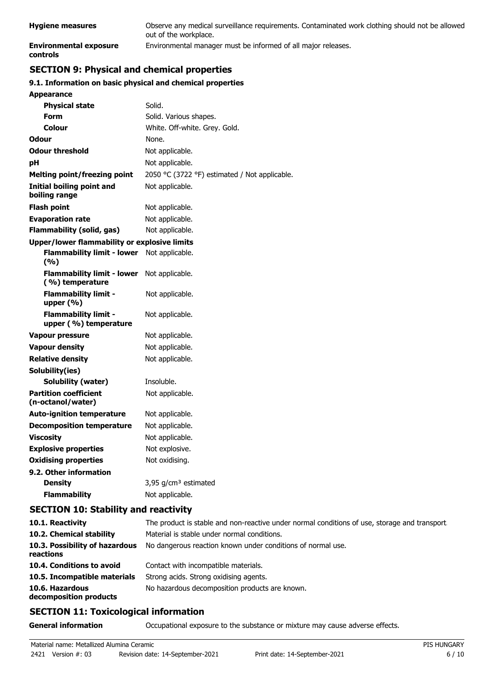| <b>Hygiene measures</b>            | Observe any medical surveillance requirements. Contaminated work clothing should not be allowed<br>out of the workplace. |
|------------------------------------|--------------------------------------------------------------------------------------------------------------------------|
| Environmental exposure<br>controls | Environmental manager must be informed of all major releases.                                                            |

# **SECTION 9: Physical and chemical properties**

## **9.1. Information on basic physical and chemical properties**

| Appearance                                           |                                               |
|------------------------------------------------------|-----------------------------------------------|
| <b>Physical state</b>                                | Solid.                                        |
| <b>Form</b>                                          | Solid. Various shapes.                        |
| Colour                                               | White. Off-white. Grey. Gold.                 |
| Odour                                                | None.                                         |
| <b>Odour threshold</b>                               | Not applicable.                               |
| pН                                                   | Not applicable.                               |
| <b>Melting point/freezing point</b>                  | 2050 °C (3722 °F) estimated / Not applicable. |
| <b>Initial boiling point and</b><br>boiling range    | Not applicable.                               |
| Flash point                                          | Not applicable.                               |
| <b>Evaporation rate</b>                              | Not applicable.                               |
| <b>Flammability (solid, gas)</b>                     | Not applicable.                               |
| <b>Upper/lower flammability or explosive limits</b>  |                                               |
| <b>Flammability limit - lower</b><br>(%)             | Not applicable.                               |
| <b>Flammability limit - lower</b><br>(%) temperature | Not applicable.                               |
| <b>Flammability limit -</b><br>upper $(% )$          | Not applicable.                               |
| <b>Flammability limit -</b><br>upper (%) temperature | Not applicable.                               |
| <b>Vapour pressure</b>                               | Not applicable.                               |
| <b>Vapour density</b>                                | Not applicable.                               |
| <b>Relative density</b>                              | Not applicable.                               |
| Solubility(ies)                                      |                                               |
| Solubility (water)                                   | Insoluble.                                    |
| <b>Partition coefficient</b><br>(n-octanol/water)    | Not applicable.                               |
| <b>Auto-ignition temperature</b>                     | Not applicable.                               |
| <b>Decomposition temperature</b>                     | Not applicable.                               |
| Viscosity                                            | Not applicable.                               |
| <b>Explosive properties</b>                          | Not explosive.                                |
| <b>Oxidising properties</b>                          | Not oxidising.                                |
| 9.2. Other information                               |                                               |
| <b>Density</b>                                       | 3,95 g/cm <sup>3</sup> estimated              |
| <b>Flammability</b>                                  | Not applicable.                               |

## **SECTION 10: Stability and reactivity**

| 10.1. Reactivity                            | The product is stable and non-reactive under normal conditions of use, storage and transport |
|---------------------------------------------|----------------------------------------------------------------------------------------------|
| 10.2. Chemical stability                    | Material is stable under normal conditions.                                                  |
| 10.3. Possibility of hazardous<br>reactions | No dangerous reaction known under conditions of normal use.                                  |
| 10.4. Conditions to avoid                   | Contact with incompatible materials.                                                         |
| 10.5. Incompatible materials                | Strong acids. Strong oxidising agents.                                                       |
| 10.6. Hazardous<br>decomposition products   | No hazardous decomposition products are known.                                               |

## **SECTION 11: Toxicological information**

**General information CCCUPATION** Occupational exposure to the substance or mixture may cause adverse effects.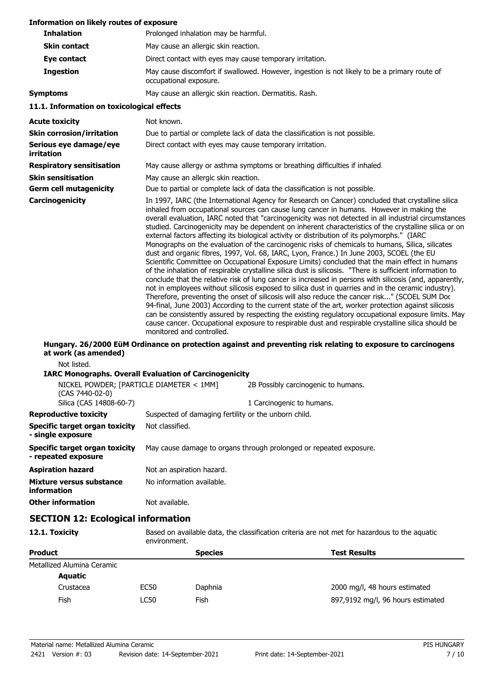| Information on likely routes of exposure                     |                                                                                                                                                                                                                                                                                                                                                                                                                                                                                                                                                                                                                                                                                                                                                                                                                                                                                                                                                                                                                                                                                                                                                                                                                                                                                                                                                                                                                                                                                                                                                                                                    |  |  |
|--------------------------------------------------------------|----------------------------------------------------------------------------------------------------------------------------------------------------------------------------------------------------------------------------------------------------------------------------------------------------------------------------------------------------------------------------------------------------------------------------------------------------------------------------------------------------------------------------------------------------------------------------------------------------------------------------------------------------------------------------------------------------------------------------------------------------------------------------------------------------------------------------------------------------------------------------------------------------------------------------------------------------------------------------------------------------------------------------------------------------------------------------------------------------------------------------------------------------------------------------------------------------------------------------------------------------------------------------------------------------------------------------------------------------------------------------------------------------------------------------------------------------------------------------------------------------------------------------------------------------------------------------------------------------|--|--|
| <b>Inhalation</b>                                            | Prolonged inhalation may be harmful.                                                                                                                                                                                                                                                                                                                                                                                                                                                                                                                                                                                                                                                                                                                                                                                                                                                                                                                                                                                                                                                                                                                                                                                                                                                                                                                                                                                                                                                                                                                                                               |  |  |
| <b>Skin contact</b>                                          | May cause an allergic skin reaction.                                                                                                                                                                                                                                                                                                                                                                                                                                                                                                                                                                                                                                                                                                                                                                                                                                                                                                                                                                                                                                                                                                                                                                                                                                                                                                                                                                                                                                                                                                                                                               |  |  |
| Eye contact                                                  | Direct contact with eyes may cause temporary irritation.                                                                                                                                                                                                                                                                                                                                                                                                                                                                                                                                                                                                                                                                                                                                                                                                                                                                                                                                                                                                                                                                                                                                                                                                                                                                                                                                                                                                                                                                                                                                           |  |  |
| <b>Ingestion</b>                                             | May cause discomfort if swallowed. However, ingestion is not likely to be a primary route of<br>occupational exposure.                                                                                                                                                                                                                                                                                                                                                                                                                                                                                                                                                                                                                                                                                                                                                                                                                                                                                                                                                                                                                                                                                                                                                                                                                                                                                                                                                                                                                                                                             |  |  |
| <b>Symptoms</b>                                              | May cause an allergic skin reaction. Dermatitis. Rash.                                                                                                                                                                                                                                                                                                                                                                                                                                                                                                                                                                                                                                                                                                                                                                                                                                                                                                                                                                                                                                                                                                                                                                                                                                                                                                                                                                                                                                                                                                                                             |  |  |
| 11.1. Information on toxicological effects                   |                                                                                                                                                                                                                                                                                                                                                                                                                                                                                                                                                                                                                                                                                                                                                                                                                                                                                                                                                                                                                                                                                                                                                                                                                                                                                                                                                                                                                                                                                                                                                                                                    |  |  |
| <b>Acute toxicity</b>                                        | Not known.                                                                                                                                                                                                                                                                                                                                                                                                                                                                                                                                                                                                                                                                                                                                                                                                                                                                                                                                                                                                                                                                                                                                                                                                                                                                                                                                                                                                                                                                                                                                                                                         |  |  |
| <b>Skin corrosion/irritation</b>                             | Due to partial or complete lack of data the classification is not possible.                                                                                                                                                                                                                                                                                                                                                                                                                                                                                                                                                                                                                                                                                                                                                                                                                                                                                                                                                                                                                                                                                                                                                                                                                                                                                                                                                                                                                                                                                                                        |  |  |
| Serious eye damage/eye<br>irritation                         | Direct contact with eyes may cause temporary irritation.                                                                                                                                                                                                                                                                                                                                                                                                                                                                                                                                                                                                                                                                                                                                                                                                                                                                                                                                                                                                                                                                                                                                                                                                                                                                                                                                                                                                                                                                                                                                           |  |  |
| <b>Respiratory sensitisation</b>                             | May cause allergy or asthma symptoms or breathing difficulties if inhaled.                                                                                                                                                                                                                                                                                                                                                                                                                                                                                                                                                                                                                                                                                                                                                                                                                                                                                                                                                                                                                                                                                                                                                                                                                                                                                                                                                                                                                                                                                                                         |  |  |
| <b>Skin sensitisation</b>                                    | May cause an allergic skin reaction.                                                                                                                                                                                                                                                                                                                                                                                                                                                                                                                                                                                                                                                                                                                                                                                                                                                                                                                                                                                                                                                                                                                                                                                                                                                                                                                                                                                                                                                                                                                                                               |  |  |
| <b>Germ cell mutagenicity</b>                                | Due to partial or complete lack of data the classification is not possible.                                                                                                                                                                                                                                                                                                                                                                                                                                                                                                                                                                                                                                                                                                                                                                                                                                                                                                                                                                                                                                                                                                                                                                                                                                                                                                                                                                                                                                                                                                                        |  |  |
| Carcinogenicity                                              | In 1997, IARC (the International Agency for Research on Cancer) concluded that crystalline silica<br>inhaled from occupational sources can cause lung cancer in humans. However in making the<br>overall evaluation, IARC noted that "carcinogenicity was not detected in all industrial circumstances<br>studied. Carcinogenicity may be dependent on inherent characteristics of the crystalline silica or on<br>external factors affecting its biological activity or distribution of its polymorphs." (IARC<br>Monographs on the evaluation of the carcinogenic risks of chemicals to humans, Silica, silicates<br>dust and organic fibres, 1997, Vol. 68, IARC, Lyon, France.) In June 2003, SCOEL (the EU<br>Scientific Committee on Occupational Exposure Limits) concluded that the main effect in humans<br>of the inhalation of respirable crystalline silica dust is silicosis. "There is sufficient information to<br>conclude that the relative risk of lung cancer is increased in persons with silicosis (and, apparently,<br>not in employees without silicosis exposed to silica dust in quarries and in the ceramic industry).<br>Therefore, preventing the onset of silicosis will also reduce the cancer risk" (SCOEL SUM Doc<br>94-final, June 2003) According to the current state of the art, worker protection against silicosis<br>can be consistently assured by respecting the existing regulatory occupational exposure limits. May<br>cause cancer. Occupational exposure to respirable dust and respirable crystalline silica should be<br>monitored and controlled. |  |  |
| at work (as amended)                                         | Hungary. 26/2000 EüM Ordinance on protection against and preventing risk relating to exposure to carcinogens                                                                                                                                                                                                                                                                                                                                                                                                                                                                                                                                                                                                                                                                                                                                                                                                                                                                                                                                                                                                                                                                                                                                                                                                                                                                                                                                                                                                                                                                                       |  |  |
| Not listed.                                                  | <b>IARC Monographs. Overall Evaluation of Carcinogenicity</b>                                                                                                                                                                                                                                                                                                                                                                                                                                                                                                                                                                                                                                                                                                                                                                                                                                                                                                                                                                                                                                                                                                                                                                                                                                                                                                                                                                                                                                                                                                                                      |  |  |
| NICKEL POWDER; [PARTICLE DIAMETER < 1MM]                     | 2B Possibly carcinogenic to humans.                                                                                                                                                                                                                                                                                                                                                                                                                                                                                                                                                                                                                                                                                                                                                                                                                                                                                                                                                                                                                                                                                                                                                                                                                                                                                                                                                                                                                                                                                                                                                                |  |  |
| (CAS 7440-02-0)                                              |                                                                                                                                                                                                                                                                                                                                                                                                                                                                                                                                                                                                                                                                                                                                                                                                                                                                                                                                                                                                                                                                                                                                                                                                                                                                                                                                                                                                                                                                                                                                                                                                    |  |  |
| Silica (CAS 14808-60-7)                                      | 1 Carcinogenic to humans.                                                                                                                                                                                                                                                                                                                                                                                                                                                                                                                                                                                                                                                                                                                                                                                                                                                                                                                                                                                                                                                                                                                                                                                                                                                                                                                                                                                                                                                                                                                                                                          |  |  |
| <b>Reproductive toxicity</b>                                 | Suspected of damaging fertility or the unborn child.                                                                                                                                                                                                                                                                                                                                                                                                                                                                                                                                                                                                                                                                                                                                                                                                                                                                                                                                                                                                                                                                                                                                                                                                                                                                                                                                                                                                                                                                                                                                               |  |  |
| <b>Specific target organ toxicity</b><br>- single exposure   | Not classified.                                                                                                                                                                                                                                                                                                                                                                                                                                                                                                                                                                                                                                                                                                                                                                                                                                                                                                                                                                                                                                                                                                                                                                                                                                                                                                                                                                                                                                                                                                                                                                                    |  |  |
| <b>Specific target organ toxicity</b><br>- repeated exposure | May cause damage to organs through prolonged or repeated exposure.                                                                                                                                                                                                                                                                                                                                                                                                                                                                                                                                                                                                                                                                                                                                                                                                                                                                                                                                                                                                                                                                                                                                                                                                                                                                                                                                                                                                                                                                                                                                 |  |  |
| <b>Aspiration hazard</b>                                     | Not an aspiration hazard.                                                                                                                                                                                                                                                                                                                                                                                                                                                                                                                                                                                                                                                                                                                                                                                                                                                                                                                                                                                                                                                                                                                                                                                                                                                                                                                                                                                                                                                                                                                                                                          |  |  |
| Mixture versus substance<br>information                      | No information available.                                                                                                                                                                                                                                                                                                                                                                                                                                                                                                                                                                                                                                                                                                                                                                                                                                                                                                                                                                                                                                                                                                                                                                                                                                                                                                                                                                                                                                                                                                                                                                          |  |  |
| <b>Other information</b>                                     | Not available.                                                                                                                                                                                                                                                                                                                                                                                                                                                                                                                                                                                                                                                                                                                                                                                                                                                                                                                                                                                                                                                                                                                                                                                                                                                                                                                                                                                                                                                                                                                                                                                     |  |  |
| <b>SECTION 12: Ecological information</b>                    |                                                                                                                                                                                                                                                                                                                                                                                                                                                                                                                                                                                                                                                                                                                                                                                                                                                                                                                                                                                                                                                                                                                                                                                                                                                                                                                                                                                                                                                                                                                                                                                                    |  |  |
| 12.1. Toxicity                                               | Based on available data, the classification criteria are not met for hazardous to the aquatic                                                                                                                                                                                                                                                                                                                                                                                                                                                                                                                                                                                                                                                                                                                                                                                                                                                                                                                                                                                                                                                                                                                                                                                                                                                                                                                                                                                                                                                                                                      |  |  |

| environment.               |             |                |                                   |
|----------------------------|-------------|----------------|-----------------------------------|
| <b>Product</b>             |             | <b>Species</b> | <b>Test Results</b>               |
| Metallized Alumina Ceramic |             |                |                                   |
| <b>Aquatic</b>             |             |                |                                   |
| Crustacea                  | <b>EC50</b> | Daphnia        | 2000 mg/l, 48 hours estimated     |
| Fish                       | <b>LC50</b> | Fish           | 897,9192 mg/l, 96 hours estimated |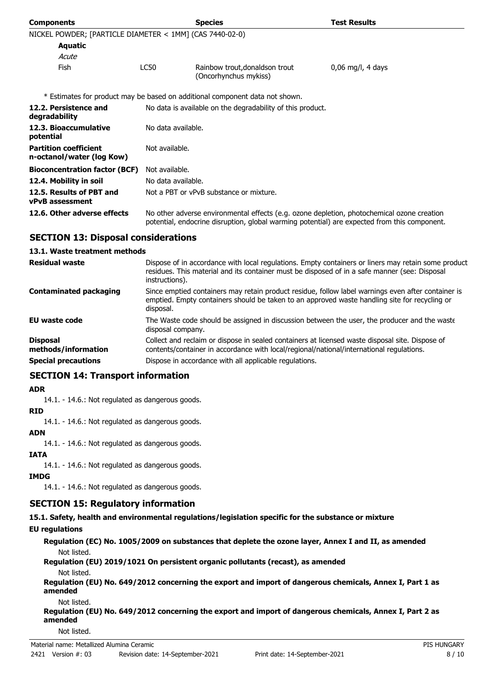| <b>Components</b>                                         | <b>Species</b>                                             |                                                                                                                                                                                            | <b>Test Results</b> |
|-----------------------------------------------------------|------------------------------------------------------------|--------------------------------------------------------------------------------------------------------------------------------------------------------------------------------------------|---------------------|
| NICKEL POWDER; [PARTICLE DIAMETER < 1MM] (CAS 7440-02-0)  |                                                            |                                                                                                                                                                                            |                     |
| <b>Aquatic</b>                                            |                                                            |                                                                                                                                                                                            |                     |
| Acute                                                     |                                                            |                                                                                                                                                                                            |                     |
| Fish                                                      | LC50                                                       | Rainbow trout, donaldson trout<br>(Oncorhynchus mykiss)                                                                                                                                    | $0,06$ mg/l, 4 days |
|                                                           |                                                            | * Estimates for product may be based on additional component data not shown.                                                                                                               |                     |
| 12.2. Persistence and<br>degradability                    | No data is available on the degradability of this product. |                                                                                                                                                                                            |                     |
| 12.3. Bioaccumulative<br>potential                        | No data available.                                         |                                                                                                                                                                                            |                     |
| <b>Partition coefficient</b><br>n-octanol/water (log Kow) | Not available.                                             |                                                                                                                                                                                            |                     |
| <b>Bioconcentration factor (BCF)</b>                      | Not available.                                             |                                                                                                                                                                                            |                     |
| 12.4. Mobility in soil                                    | No data available.                                         |                                                                                                                                                                                            |                     |
| 12.5. Results of PBT and<br><b>vPvB</b> assessment        |                                                            | Not a PBT or vPvB substance or mixture.                                                                                                                                                    |                     |
| 12.6. Other adverse effects                               |                                                            | No other adverse environmental effects (e.g. ozone depletion, photochemical ozone creation<br>potential, endocrine disruption, global warming potential) are expected from this component. |                     |

# **SECTION 13: Disposal considerations**

#### **13.1. Waste treatment methods**

| <b>Residual waste</b>                                                | Dispose of in accordance with local regulations. Empty containers or liners may retain some product<br>residues. This material and its container must be disposed of in a safe manner (see: Disposal<br>instructions).                                |
|----------------------------------------------------------------------|-------------------------------------------------------------------------------------------------------------------------------------------------------------------------------------------------------------------------------------------------------|
| <b>Contaminated packaging</b>                                        | Since emptied containers may retain product residue, follow label warnings even after container is<br>emptied. Empty containers should be taken to an approved waste handling site for recycling or<br>disposal.                                      |
| EU waste code                                                        | The Waste code should be assigned in discussion between the user, the producer and the waste<br>disposal company.                                                                                                                                     |
| <b>Disposal</b><br>methods/information<br><b>Special precautions</b> | Collect and reclaim or dispose in sealed containers at licensed waste disposal site. Dispose of<br>contents/container in accordance with local/regional/national/international regulations.<br>Dispose in accordance with all applicable regulations. |
|                                                                      |                                                                                                                                                                                                                                                       |

# **SECTION 14: Transport information**

#### **ADR**

14.1. - 14.6.: Not regulated as dangerous goods.

#### **RID**

14.1. - 14.6.: Not regulated as dangerous goods.

#### **ADN**

14.1. - 14.6.: Not regulated as dangerous goods.

## **IATA**

14.1. - 14.6.: Not regulated as dangerous goods.

# **IMDG**

14.1. - 14.6.: Not regulated as dangerous goods.

# **SECTION 15: Regulatory information**

**15.1. Safety, health and environmental regulations/legislation specific for the substance or mixture**

#### **EU regulations**

**Regulation (EC) No. 1005/2009 on substances that deplete the ozone layer, Annex I and II, as amended** Not listed.

#### **Regulation (EU) 2019/1021 On persistent organic pollutants (recast), as amended** Not listed.

**Regulation (EU) No. 649/2012 concerning the export and import of dangerous chemicals, Annex I, Part 1 as amended**

Not listed.

**Regulation (EU) No. 649/2012 concerning the export and import of dangerous chemicals, Annex I, Part 2 as amended**

Not listed.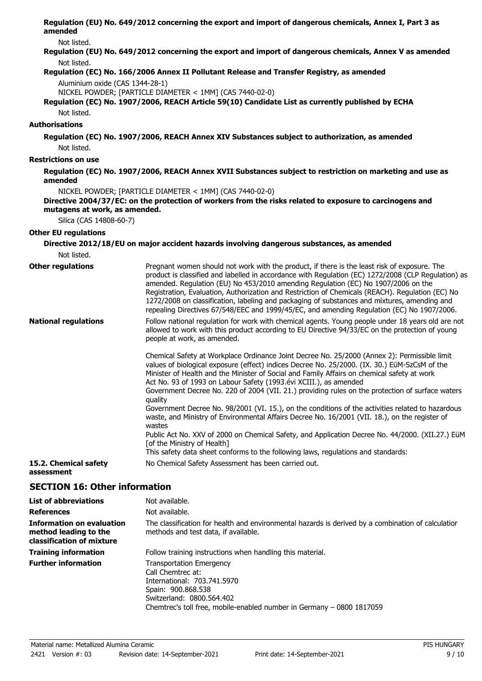**Regulation (EU) No. 649/2012 concerning the export and import of dangerous chemicals, Annex I, Part 3 as amended**

Not listed.

**Regulation (EU) No. 649/2012 concerning the export and import of dangerous chemicals, Annex V as amended** Not listed.

#### **Regulation (EC) No. 166/2006 Annex II Pollutant Release and Transfer Registry, as amended**

#### Aluminium oxide (CAS 1344-28-1)

NICKEL POWDER; [PARTICLE DIAMETER < 1MM] (CAS 7440-02-0)

**Regulation (EC) No. 1907/2006, REACH Article 59(10) Candidate List as currently published by ECHA** Not listed.

# **Authorisations**

#### **Regulation (EC) No. 1907/2006, REACH Annex XIV Substances subject to authorization, as amended** Not listed.

#### **Restrictions on use**

**Regulation (EC) No. 1907/2006, REACH Annex XVII Substances subject to restriction on marketing and use as amended**

NICKEL POWDER; [PARTICLE DIAMETER < 1MM] (CAS 7440-02-0)

#### **Directive 2004/37/EC: on the protection of workers from the risks related to exposure to carcinogens and mutagens at work, as amended.**

Silica (CAS 14808-60-7)

## **Other EU regulations**

# **Directive 2012/18/EU on major accident hazards involving dangerous substances, as amended**

Not listed.

| <b>Other regulations</b>    | Pregnant women should not work with the product, if there is the least risk of exposure. The<br>product is classified and labelled in accordance with Regulation (EC) 1272/2008 (CLP Regulation) as<br>amended. Regulation (EU) No 453/2010 amending Regulation (EC) No 1907/2006 on the<br>Registration, Evaluation, Authorization and Restriction of Chemicals (REACH). Regulation (EC) No<br>1272/2008 on classification, labeling and packaging of substances and mixtures, amending and<br>repealing Directives 67/548/EEC and 1999/45/EC, and amending Regulation (EC) No 1907/2006. |
|-----------------------------|--------------------------------------------------------------------------------------------------------------------------------------------------------------------------------------------------------------------------------------------------------------------------------------------------------------------------------------------------------------------------------------------------------------------------------------------------------------------------------------------------------------------------------------------------------------------------------------------|
| <b>National regulations</b> | Follow national regulation for work with chemical agents. Young people under 18 years old are not<br>allowed to work with this product according to EU Directive 94/33/EC on the protection of young<br>people at work, as amended.                                                                                                                                                                                                                                                                                                                                                        |
|                             | Chemical Safety at Workplace Ordinance Joint Decree No. 25/2000 (Annex 2): Permissible limit<br>values of biological exposure (effect) indices Decree No. 25/2000. (IX. 30.) EüM-SzCsM of the<br>Minister of Health and the Minister of Social and Family Affairs on chemical safety at work<br>Act No. 93 of 1993 on Labour Safety (1993. evi XCIII.), as amended<br>Government Decree No. 220 of 2004 (VII. 21.) providing rules on the protection of surface waters<br>quality<br>Government Decree No. 98/2001 (VI. 15.), on the conditions of the activities related to hazardous     |
|                             | waste, and Ministry of Environmental Affairs Decree No. 16/2001 (VII. 18.), on the register of<br>wastes<br>Public Act No. XXV of 2000 on Chemical Safety, and Application Decree No. 44/2000. (XII.27.) EüM<br>[of the Ministry of Health]<br>This safety data sheet conforms to the following laws, regulations and standards:                                                                                                                                                                                                                                                           |
| 15.2. Chemical safety       | No Chemical Safety Assessment has been carried out.                                                                                                                                                                                                                                                                                                                                                                                                                                                                                                                                        |

# **assessment**

# **SECTION 16: Other information**

| <b>List of abbreviations</b>                                                           | Not available.                                                                                                                                                                                                  |
|----------------------------------------------------------------------------------------|-----------------------------------------------------------------------------------------------------------------------------------------------------------------------------------------------------------------|
| <b>References</b>                                                                      | Not available.                                                                                                                                                                                                  |
| <b>Information on evaluation</b><br>method leading to the<br>classification of mixture | The classification for health and environmental hazards is derived by a combination of calculatior<br>methods and test data, if available.                                                                      |
| <b>Training information</b>                                                            | Follow training instructions when handling this material.                                                                                                                                                       |
| <b>Further information</b>                                                             | <b>Transportation Emergency</b><br>Call Chemtrec at:<br>International: 703.741.5970<br>Spain: 900.868.538<br>Switzerland: 0800.564.402<br>Chemtrec's toll free, mobile-enabled number in Germany – 0800 1817059 |